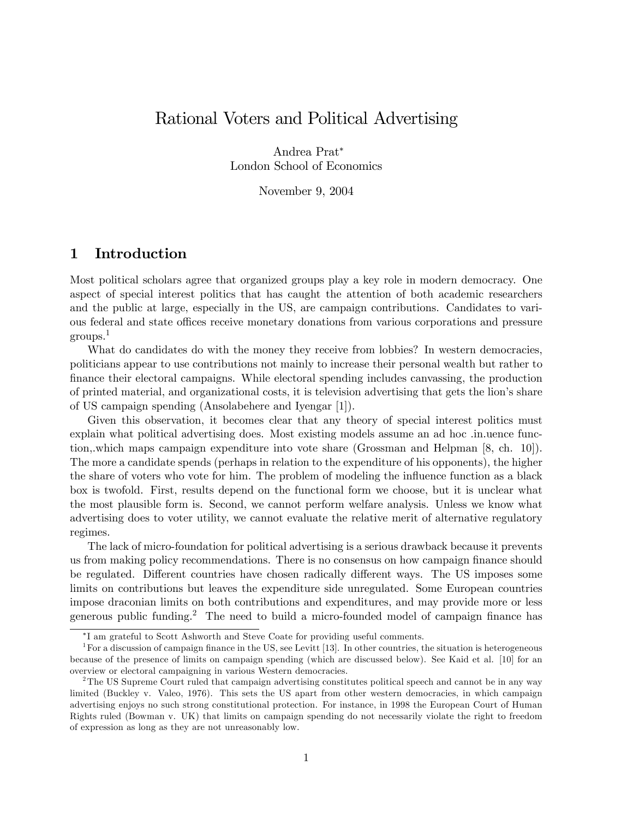# Rational Voters and Political Advertising

Andrea Prat London School of Economics

November 9, 2004

#### 1 Introduction

Most political scholars agree that organized groups play a key role in modern democracy. One aspect of special interest politics that has caught the attention of both academic researchers and the public at large, especially in the US, are campaign contributions. Candidates to various federal and state offices receive monetary donations from various corporations and pressure groups.<sup>1</sup>

What do candidates do with the money they receive from lobbies? In western democracies, politicians appear to use contributions not mainly to increase their personal wealth but rather to finance their electoral campaigns. While electoral spending includes canvassing, the production of printed material, and organizational costs, it is television advertising that gets the lionís share of US campaign spending (Ansolabehere and Iyengar [1]).

Given this observation, it becomes clear that any theory of special interest politics must explain what political advertising does. Most existing models assume an ad hoc .in.uence function,.which maps campaign expenditure into vote share (Grossman and Helpman [8, ch. 10]). The more a candidate spends (perhaps in relation to the expenditure of his opponents), the higher the share of voters who vote for him. The problem of modeling the influence function as a black box is twofold. First, results depend on the functional form we choose, but it is unclear what the most plausible form is. Second, we cannot perform welfare analysis. Unless we know what advertising does to voter utility, we cannot evaluate the relative merit of alternative regulatory regimes.

The lack of micro-foundation for political advertising is a serious drawback because it prevents us from making policy recommendations. There is no consensus on how campaign finance should be regulated. Different countries have chosen radically different ways. The US imposes some limits on contributions but leaves the expenditure side unregulated. Some European countries impose draconian limits on both contributions and expenditures, and may provide more or less generous public funding.<sup>2</sup> The need to build a micro-founded model of campaign finance has

I am grateful to Scott Ashworth and Steve Coate for providing useful comments.

<sup>&</sup>lt;sup>1</sup>For a discussion of campaign finance in the US, see Levitt [13]. In other countries, the situation is heterogeneous because of the presence of limits on campaign spending (which are discussed below). See Kaid et al. [10] for an overview or electoral campaigning in various Western democracies.

 $2$ The US Supreme Court ruled that campaign advertising constitutes political speech and cannot be in any way limited (Buckley v. Valeo, 1976). This sets the US apart from other western democracies, in which campaign advertising enjoys no such strong constitutional protection. For instance, in 1998 the European Court of Human Rights ruled (Bowman v. UK) that limits on campaign spending do not necessarily violate the right to freedom of expression as long as they are not unreasonably low.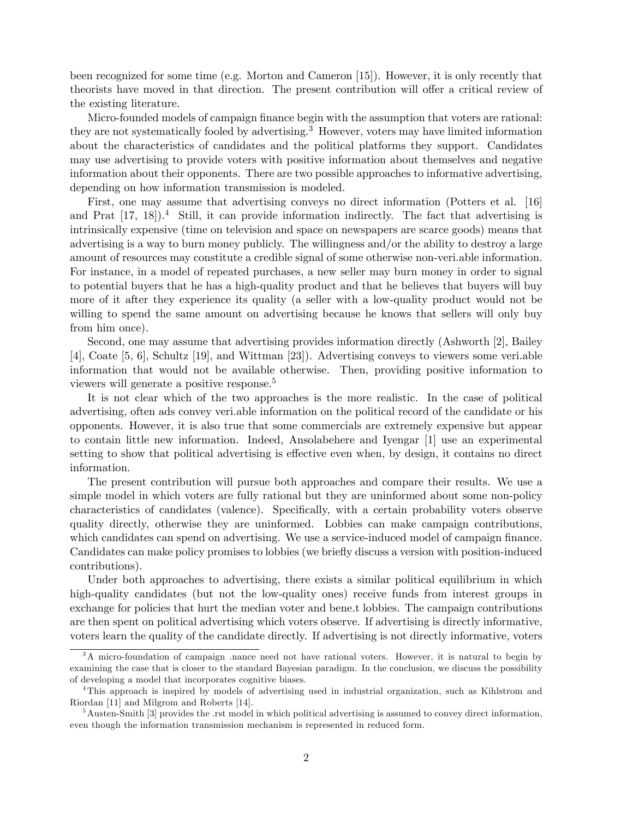been recognized for some time (e.g. Morton and Cameron [15]). However, it is only recently that theorists have moved in that direction. The present contribution will offer a critical review of the existing literature.

Micro-founded models of campaign finance begin with the assumption that voters are rational: they are not systematically fooled by advertising.<sup>3</sup> However, voters may have limited information about the characteristics of candidates and the political platforms they support. Candidates may use advertising to provide voters with positive information about themselves and negative information about their opponents. There are two possible approaches to informative advertising, depending on how information transmission is modeled.

First, one may assume that advertising conveys no direct information (Potters et al. [16] and Prat  $[17, 18]$ .<sup>4</sup> Still, it can provide information indirectly. The fact that advertising is intrinsically expensive (time on television and space on newspapers are scarce goods) means that advertising is a way to burn money publicly. The willingness and/or the ability to destroy a large amount of resources may constitute a credible signal of some otherwise non-veri.able information. For instance, in a model of repeated purchases, a new seller may burn money in order to signal to potential buyers that he has a high-quality product and that he believes that buyers will buy more of it after they experience its quality (a seller with a low-quality product would not be willing to spend the same amount on advertising because he knows that sellers will only buy from him once).

Second, one may assume that advertising provides information directly (Ashworth [2], Bailey [4], Coate [5, 6], Schultz [19], and Wittman [23]). Advertising conveys to viewers some veri.able information that would not be available otherwise. Then, providing positive information to viewers will generate a positive response.<sup>5</sup>

It is not clear which of the two approaches is the more realistic. In the case of political advertising, often ads convey veri.able information on the political record of the candidate or his opponents. However, it is also true that some commercials are extremely expensive but appear to contain little new information. Indeed, Ansolabehere and Iyengar [1] use an experimental setting to show that political advertising is effective even when, by design, it contains no direct information.

The present contribution will pursue both approaches and compare their results. We use a simple model in which voters are fully rational but they are uninformed about some non-policy characteristics of candidates (valence). Specifically, with a certain probability voters observe quality directly, otherwise they are uninformed. Lobbies can make campaign contributions, which candidates can spend on advertising. We use a service-induced model of campaign finance. Candidates can make policy promises to lobbies (we briefly discuss a version with position-induced contributions).

Under both approaches to advertising, there exists a similar political equilibrium in which high-quality candidates (but not the low-quality ones) receive funds from interest groups in exchange for policies that hurt the median voter and bene.t lobbies. The campaign contributions are then spent on political advertising which voters observe. If advertising is directly informative, voters learn the quality of the candidate directly. If advertising is not directly informative, voters

<sup>&</sup>lt;sup>3</sup>A micro-foundation of campaign .nance need not have rational voters. However, it is natural to begin by examining the case that is closer to the standard Bayesian paradigm. In the conclusion, we discuss the possibility of developing a model that incorporates cognitive biases.

<sup>4</sup>This approach is inspired by models of advertising used in industrial organization, such as Kihlstrom and Riordan [11] and Milgrom and Roberts [14].

 $5A$ usten-Smith [3] provides the .rst model in which political advertising is assumed to convey direct information, even though the information transmission mechanism is represented in reduced form.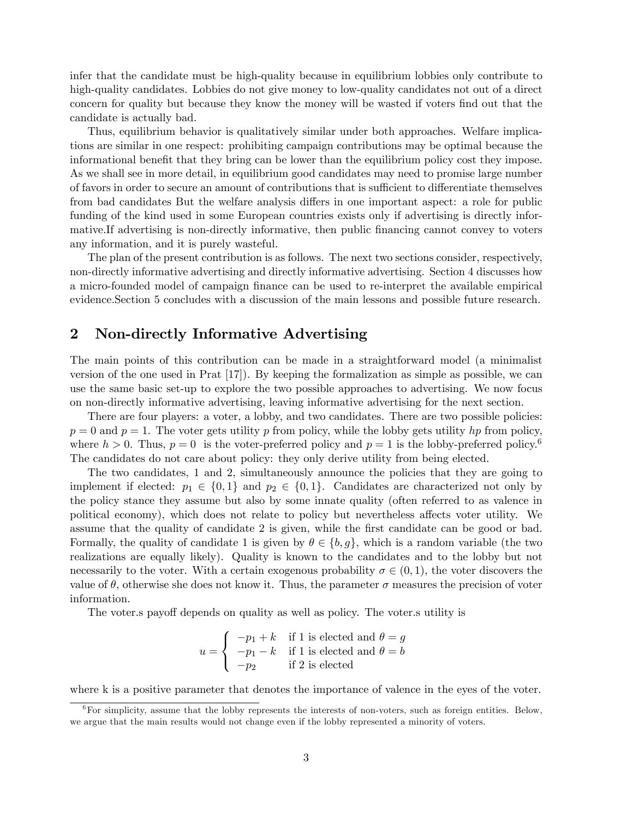infer that the candidate must be high-quality because in equilibrium lobbies only contribute to high-quality candidates. Lobbies do not give money to low-quality candidates not out of a direct concern for quality but because they know the money will be wasted if voters find out that the candidate is actually bad.

Thus, equilibrium behavior is qualitatively similar under both approaches. Welfare implications are similar in one respect: prohibiting campaign contributions may be optimal because the informational benefit that they bring can be lower than the equilibrium policy cost they impose. As we shall see in more detail, in equilibrium good candidates may need to promise large number of favors in order to secure an amount of contributions that is sufficient to differentiate themselves from bad candidates But the welfare analysis differs in one important aspect: a role for public funding of the kind used in some European countries exists only if advertising is directly informative. If advertising is non-directly informative, then public financing cannot convey to voters any information, and it is purely wasteful.

The plan of the present contribution is as follows. The next two sections consider, respectively, non-directly informative advertising and directly informative advertising. Section 4 discusses how a micro-founded model of campaign Önance can be used to re-interpret the available empirical evidence.Section 5 concludes with a discussion of the main lessons and possible future research.

### 2 Non-directly Informative Advertising

The main points of this contribution can be made in a straightforward model (a minimalist version of the one used in Prat [17]). By keeping the formalization as simple as possible, we can use the same basic set-up to explore the two possible approaches to advertising. We now focus on non-directly informative advertising, leaving informative advertising for the next section.

There are four players: a voter, a lobby, and two candidates. There are two possible policies:  $p = 0$  and  $p = 1$ . The voter gets utility p from policy, while the lobby gets utility hp from policy, where  $h > 0$ . Thus,  $p = 0$  is the voter-preferred policy and  $p = 1$  is the lobby-preferred policy.<sup>6</sup> The candidates do not care about policy: they only derive utility from being elected.

The two candidates, 1 and 2, simultaneously announce the policies that they are going to implement if elected:  $p_1 \in \{0,1\}$  and  $p_2 \in \{0,1\}$ . Candidates are characterized not only by the policy stance they assume but also by some innate quality (often referred to as valence in political economy), which does not relate to policy but nevertheless affects voter utility. We assume that the quality of candidate 2 is given, while the first candidate can be good or bad. Formally, the quality of candidate 1 is given by  $\theta \in \{b, g\}$ , which is a random variable (the two realizations are equally likely). Quality is known to the candidates and to the lobby but not necessarily to the voter. With a certain exogenous probability  $\sigma \in (0, 1)$ , the voter discovers the value of  $\theta$ , otherwise she does not know it. Thus, the parameter  $\sigma$  measures the precision of voter information.

The voter is payoff depends on quality as well as policy. The voter is utility is

$$
u = \begin{cases} -p_1 + k & \text{if } 1 \text{ is elected and } \theta = g \\ -p_1 - k & \text{if } 1 \text{ is elected and } \theta = b \\ -p_2 & \text{if } 2 \text{ is elected} \end{cases}
$$

where k is a positive parameter that denotes the importance of valence in the eyes of the voter.

 $6$ For simplicity, assume that the lobby represents the interests of non-voters, such as foreign entities. Below, we argue that the main results would not change even if the lobby represented a minority of voters.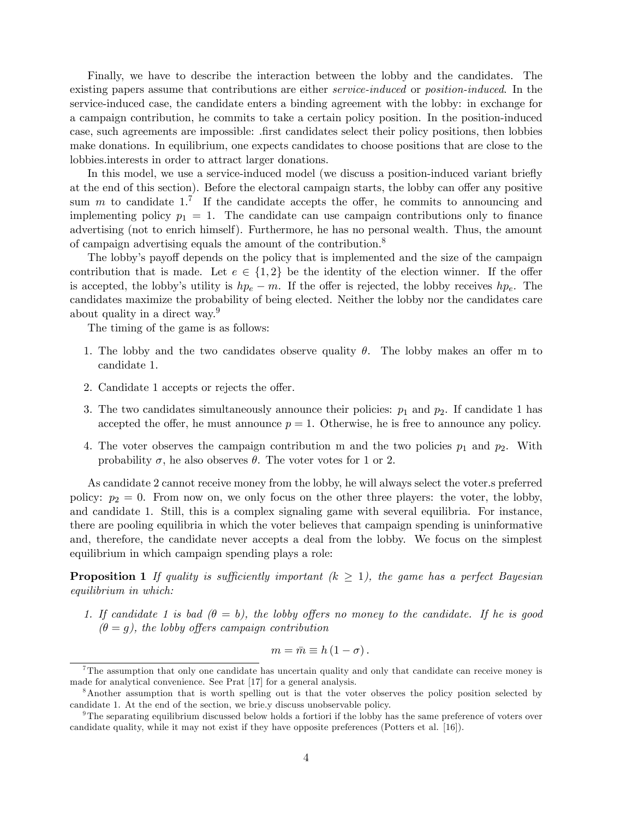Finally, we have to describe the interaction between the lobby and the candidates. The existing papers assume that contributions are either *service-induced* or *position-induced*. In the service-induced case, the candidate enters a binding agreement with the lobby: in exchange for a campaign contribution, he commits to take a certain policy position. In the position-induced case, such agreements are impossible: .first candidates select their policy positions, then lobbies make donations. In equilibrium, one expects candidates to choose positions that are close to the lobbies.interests in order to attract larger donations.

In this model, we use a service-induced model (we discuss a position-induced variant briefly at the end of this section). Before the electoral campaign starts, the lobby can offer any positive sum m to candidate  $1<sup>7</sup>$  If the candidate accepts the offer, he commits to announcing and implementing policy  $p_1 = 1$ . The candidate can use campaign contributions only to finance advertising (not to enrich himself). Furthermore, he has no personal wealth. Thus, the amount of campaign advertising equals the amount of the contribution.<sup>8</sup>

The lobby's payoff depends on the policy that is implemented and the size of the campaign contribution that is made. Let  $e \in \{1,2\}$  be the identity of the election winner. If the offer is accepted, the lobby's utility is  $hp_e - m$ . If the offer is rejected, the lobby receives  $hp_e$ . The candidates maximize the probability of being elected. Neither the lobby nor the candidates care about quality in a direct way.<sup>9</sup>

The timing of the game is as follows:

- 1. The lobby and the two candidates observe quality  $\theta$ . The lobby makes an offer m to candidate 1.
- 2. Candidate 1 accepts or rejects the offer.
- 3. The two candidates simultaneously announce their policies:  $p_1$  and  $p_2$ . If candidate 1 has accepted the offer, he must announce  $p = 1$ . Otherwise, he is free to announce any policy.
- 4. The voter observes the campaign contribution m and the two policies  $p_1$  and  $p_2$ . With probability  $\sigma$ , he also observes  $\theta$ . The voter votes for 1 or 2.

As candidate 2 cannot receive money from the lobby, he will always select the voter.s preferred policy:  $p_2 = 0$ . From now on, we only focus on the other three players: the voter, the lobby, and candidate 1. Still, this is a complex signaling game with several equilibria. For instance, there are pooling equilibria in which the voter believes that campaign spending is uninformative and, therefore, the candidate never accepts a deal from the lobby. We focus on the simplest equilibrium in which campaign spending plays a role:

**Proposition 1** If quality is sufficiently important  $(k \geq 1)$ , the game has a perfect Bayesian equilibrium in which:

1. If candidate 1 is bad  $(\theta = b)$ , the lobby offers no money to the candidate. If he is good  $(\theta = q)$ , the lobby offers campaign contribution

$$
m = \bar{m} \equiv h\left(1 - \sigma\right).
$$

<sup>&</sup>lt;sup>7</sup>The assumption that only one candidate has uncertain quality and only that candidate can receive money is made for analytical convenience. See Prat [17] for a general analysis.

<sup>8</sup>Another assumption that is worth spelling out is that the voter observes the policy position selected by candidate 1. At the end of the section, we brie.y discuss unobservable policy.

 $9$ The separating equilibrium discussed below holds a fortiori if the lobby has the same preference of voters over candidate quality, while it may not exist if they have opposite preferences (Potters et al. [16]).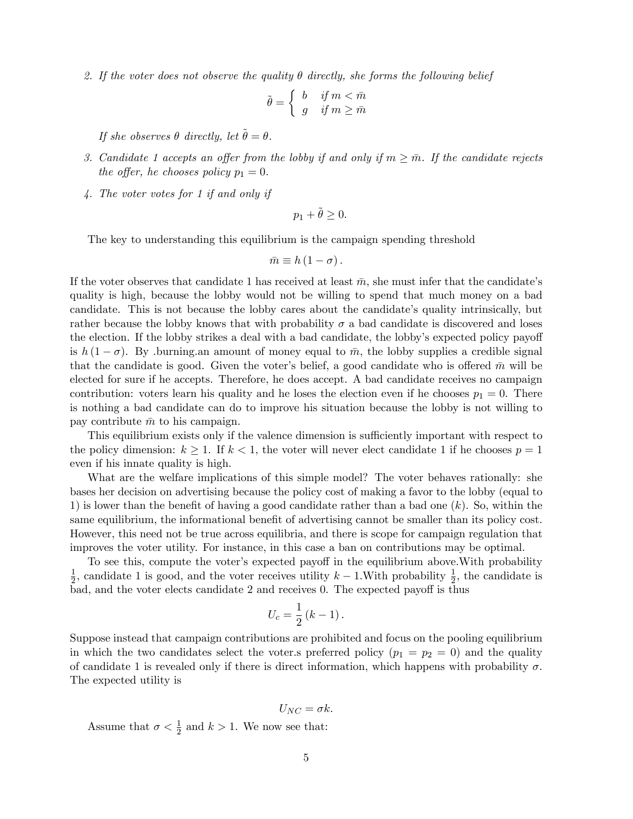2. If the voter does not observe the quality  $\theta$  directly, she forms the following belief

$$
\tilde{\theta} = \begin{cases} b & \text{if } m < \bar{m} \\ g & \text{if } m \ge \bar{m} \end{cases}
$$

If she observes  $\theta$  directly, let  $\tilde{\theta} = \theta$ .

- 3. Candidate 1 accepts an offer from the lobby if and only if  $m \geq \overline{m}$ . If the candidate rejects the offer, he chooses policy  $p_1 = 0$ .
- 4. The voter votes for 1 if and only if

$$
p_1 + \tilde{\theta} \ge 0.
$$

The key to understanding this equilibrium is the campaign spending threshold

$$
\bar{m} \equiv h\left(1-\sigma\right).
$$

If the voter observes that candidate 1 has received at least  $\bar{m}$ , she must infer that the candidate's quality is high, because the lobby would not be willing to spend that much money on a bad candidate. This is not because the lobby cares about the candidate's quality intrinsically, but rather because the lobby knows that with probability  $\sigma$  a bad candidate is discovered and loses the election. If the lobby strikes a deal with a bad candidate, the lobby's expected policy payoff is  $h(1 - \sigma)$ . By .burning.an amount of money equal to  $\bar{m}$ , the lobby supplies a credible signal that the candidate is good. Given the voter's belief, a good candidate who is offered  $\bar{m}$  will be elected for sure if he accepts. Therefore, he does accept. A bad candidate receives no campaign contribution: voters learn his quality and he loses the election even if he chooses  $p_1 = 0$ . There is nothing a bad candidate can do to improve his situation because the lobby is not willing to pay contribute  $\bar{m}$  to his campaign.

This equilibrium exists only if the valence dimension is sufficiently important with respect to the policy dimension:  $k \geq 1$ . If  $k < 1$ , the voter will never elect candidate 1 if he chooses  $p = 1$ even if his innate quality is high.

What are the welfare implications of this simple model? The voter behaves rationally: she bases her decision on advertising because the policy cost of making a favor to the lobby (equal to 1) is lower than the benefit of having a good candidate rather than a bad one  $(k)$ . So, within the same equilibrium, the informational benefit of advertising cannot be smaller than its policy cost. However, this need not be true across equilibria, and there is scope for campaign regulation that improves the voter utility. For instance, in this case a ban on contributions may be optimal.

To see this, compute the voter's expected payoff in the equilibrium above. With probability 1  $\frac{1}{2}$ , candidate 1 is good, and the voter receives utility  $k-1$ . With probability  $\frac{1}{2}$ , the candidate is  $bad,$  and the voter elects candidate 2 and receives 0. The expected payoff is thus

$$
U_c = \frac{1}{2} (k-1).
$$

Suppose instead that campaign contributions are prohibited and focus on the pooling equilibrium in which the two candidates select the voter. preferred policy  $(p_1 = p_2 = 0)$  and the quality of candidate 1 is revealed only if there is direct information, which happens with probability  $\sigma$ . The expected utility is

$$
U_{NC}=\sigma k.
$$

Assume that  $\sigma < \frac{1}{2}$  and  $k > 1$ . We now see that: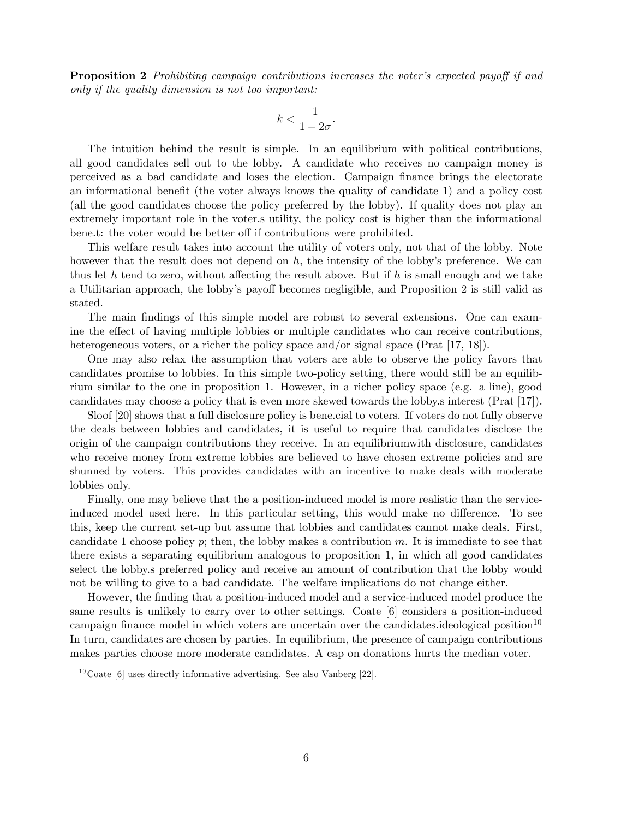**Proposition 2** Prohibiting campaign contributions increases the voter's expected payoff if and only if the quality dimension is not too important:

$$
k < \frac{1}{1 - 2\sigma}.
$$

The intuition behind the result is simple. In an equilibrium with political contributions, all good candidates sell out to the lobby. A candidate who receives no campaign money is perceived as a bad candidate and loses the election. Campaign Önance brings the electorate an informational benefit (the voter always knows the quality of candidate 1) and a policy cost (all the good candidates choose the policy preferred by the lobby). If quality does not play an extremely important role in the voter.s utility, the policy cost is higher than the informational bene.t: the voter would be better off if contributions were prohibited.

This welfare result takes into account the utility of voters only, not that of the lobby. Note however that the result does not depend on  $h$ , the intensity of the lobby's preference. We can thus let h tend to zero, without affecting the result above. But if h is small enough and we take a Utilitarian approach, the lobby's payoff becomes negligible, and Proposition 2 is still valid as stated.

The main findings of this simple model are robust to several extensions. One can examine the effect of having multiple lobbies or multiple candidates who can receive contributions, heterogeneous voters, or a richer the policy space and/or signal space (Prat [17, 18]).

One may also relax the assumption that voters are able to observe the policy favors that candidates promise to lobbies. In this simple two-policy setting, there would still be an equilibrium similar to the one in proposition 1. However, in a richer policy space (e.g. a line), good candidates may choose a policy that is even more skewed towards the lobby.s interest (Prat [17]).

Sloof [20] shows that a full disclosure policy is bene.cial to voters. If voters do not fully observe the deals between lobbies and candidates, it is useful to require that candidates disclose the origin of the campaign contributions they receive. In an equilibriumwith disclosure, candidates who receive money from extreme lobbies are believed to have chosen extreme policies and are shunned by voters. This provides candidates with an incentive to make deals with moderate lobbies only.

Finally, one may believe that the a position-induced model is more realistic than the serviceinduced model used here. In this particular setting, this would make no difference. To see this, keep the current set-up but assume that lobbies and candidates cannot make deals. First, candidate 1 choose policy  $p$ ; then, the lobby makes a contribution m. It is immediate to see that there exists a separating equilibrium analogous to proposition 1, in which all good candidates select the lobby.s preferred policy and receive an amount of contribution that the lobby would not be willing to give to a bad candidate. The welfare implications do not change either.

However, the Önding that a position-induced model and a service-induced model produce the same results is unlikely to carry over to other settings. Coate [6] considers a position-induced campaign finance model in which voters are uncertain over the candidates.ideological position<sup>10</sup> In turn, candidates are chosen by parties. In equilibrium, the presence of campaign contributions makes parties choose more moderate candidates. A cap on donations hurts the median voter.

 $10$  Coate [6] uses directly informative advertising. See also Vanberg [22].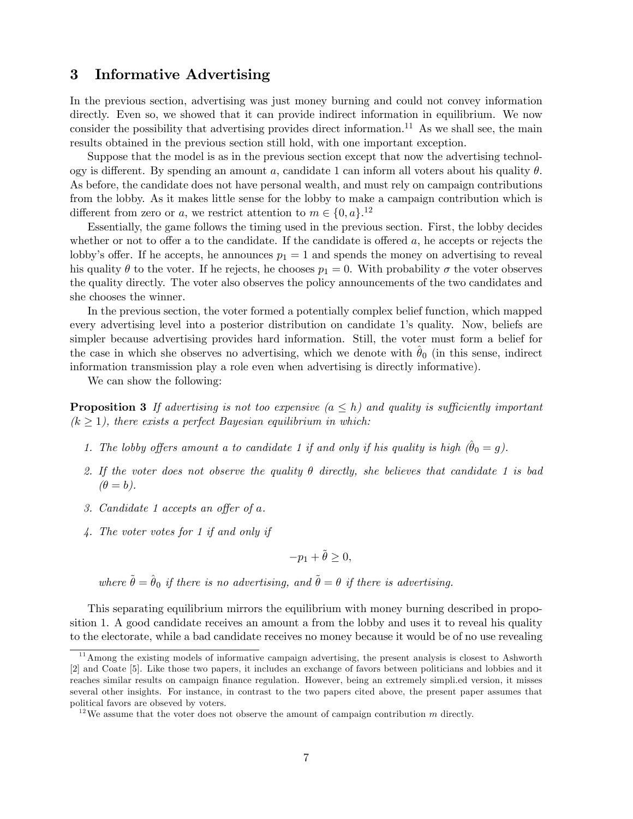#### 3 Informative Advertising

In the previous section, advertising was just money burning and could not convey information directly. Even so, we showed that it can provide indirect information in equilibrium. We now consider the possibility that advertising provides direct information.<sup>11</sup> As we shall see, the main results obtained in the previous section still hold, with one important exception.

Suppose that the model is as in the previous section except that now the advertising technology is different. By spending an amount a, candidate 1 can inform all voters about his quality  $\theta$ . As before, the candidate does not have personal wealth, and must rely on campaign contributions from the lobby. As it makes little sense for the lobby to make a campaign contribution which is different from zero or a, we restrict attention to  $m \in \{0, a\}$ .<sup>12</sup>

Essentially, the game follows the timing used in the previous section. First, the lobby decides whether or not to offer a to the candidate. If the candidate is offered  $a$ , he accepts or rejects the lobby's offer. If he accepts, he announces  $p_1 = 1$  and spends the money on advertising to reveal his quality  $\theta$  to the voter. If he rejects, he chooses  $p_1 = 0$ . With probability  $\sigma$  the voter observes the quality directly. The voter also observes the policy announcements of the two candidates and she chooses the winner.

In the previous section, the voter formed a potentially complex belief function, which mapped every advertising level into a posterior distribution on candidate 1ís quality. Now, beliefs are simpler because advertising provides hard information. Still, the voter must form a belief for the case in which she observes no advertising, which we denote with  $\theta_0$  (in this sense, indirect information transmission play a role even when advertising is directly informative).

We can show the following:

**Proposition 3** If advertising is not too expensive  $(a \leq h)$  and quality is sufficiently important  $(k \geq 1)$ , there exists a perfect Bayesian equilibrium in which:

- 1. The lobby offers amount a to candidate 1 if and only if his quality is high  $(\hat{\theta}_0 = g)$ .
- 2. If the voter does not observe the quality  $\theta$  directly, she believes that candidate 1 is bad  $(\theta = b).$
- 3. Candidate 1 accepts an offer of  $a$ .
- 4. The voter votes for 1 if and only if

$$
-p_1 + \tilde{\theta} \ge 0,
$$

where  $\tilde{\theta} = \hat{\theta}_0$  if there is no advertising, and  $\tilde{\theta} = \theta$  if there is advertising.

This separating equilibrium mirrors the equilibrium with money burning described in proposition 1. A good candidate receives an amount a from the lobby and uses it to reveal his quality to the electorate, while a bad candidate receives no money because it would be of no use revealing

 $11$  Among the existing models of informative campaign advertising, the present analysis is closest to Ashworth [2] and Coate [5]. Like those two papers, it includes an exchange of favors between politicians and lobbies and it reaches similar results on campaign finance regulation. However, being an extremely simpli.ed version, it misses several other insights. For instance, in contrast to the two papers cited above, the present paper assumes that political favors are obseved by voters.

<sup>&</sup>lt;sup>12</sup>We assume that the voter does not observe the amount of campaign contribution m directly.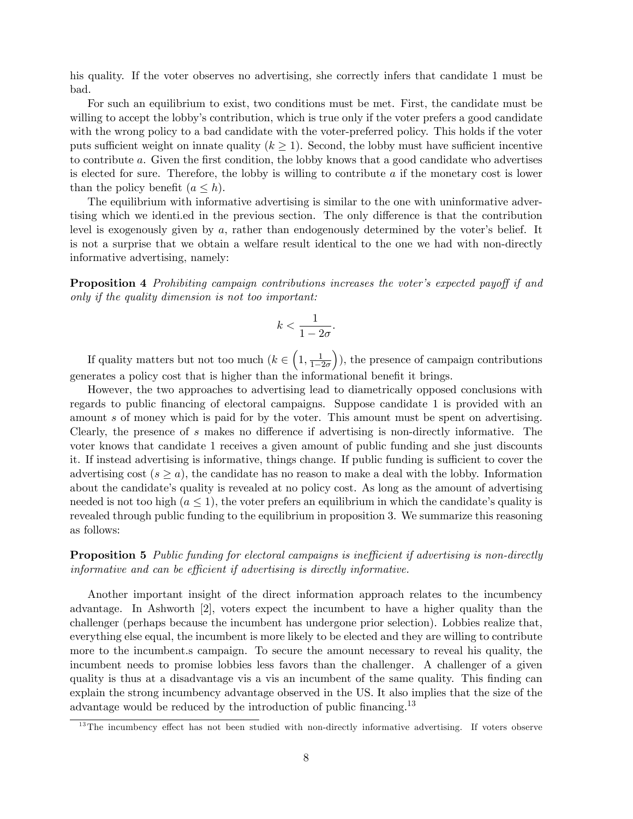his quality. If the voter observes no advertising, she correctly infers that candidate 1 must be bad.

For such an equilibrium to exist, two conditions must be met. First, the candidate must be willing to accept the lobby's contribution, which is true only if the voter prefers a good candidate with the wrong policy to a bad candidate with the voter-preferred policy. This holds if the voter puts sufficient weight on innate quality  $(k \geq 1)$ . Second, the lobby must have sufficient incentive to contribute a. Given the first condition, the lobby knows that a good candidate who advertises is elected for sure. Therefore, the lobby is willing to contribute  $a$  if the monetary cost is lower than the policy benefit  $(a \leq h)$ .

The equilibrium with informative advertising is similar to the one with uninformative advertising which we identiated in the previous section. The only difference is that the contribution level is exogenously given by  $a$ , rather than endogenously determined by the voter's belief. It is not a surprise that we obtain a welfare result identical to the one we had with non-directly informative advertising, namely:

**Proposition 4** Prohibiting campaign contributions increases the voter's expected payoff if and only if the quality dimension is not too important:

$$
k < \frac{1}{1 - 2\sigma}.
$$

If quality matters but not too much  $(k \in \left(1, \frac{1}{1-i}\right)$  $1-2\sigma$  ), the presence of campaign contributions generates a policy cost that is higher than the informational benefit it brings.

However, the two approaches to advertising lead to diametrically opposed conclusions with regards to public Önancing of electoral campaigns. Suppose candidate 1 is provided with an amount s of money which is paid for by the voter. This amount must be spent on advertising. Clearly, the presence of  $s$  makes no difference if advertising is non-directly informative. The voter knows that candidate 1 receives a given amount of public funding and she just discounts it. If instead advertising is informative, things change. If public funding is sufficient to cover the advertising cost  $(s \geq a)$ , the candidate has no reason to make a deal with the lobby. Information about the candidate's quality is revealed at no policy cost. As long as the amount of advertising needed is not too high  $(a \leq 1)$ , the voter prefers an equilibrium in which the candidate's quality is revealed through public funding to the equilibrium in proposition 3. We summarize this reasoning as follows:

**Proposition 5** Public funding for electoral campaigns is inefficient if advertising is non-directly informative and can be efficient if advertising is directly informative.

Another important insight of the direct information approach relates to the incumbency advantage. In Ashworth [2], voters expect the incumbent to have a higher quality than the challenger (perhaps because the incumbent has undergone prior selection). Lobbies realize that, everything else equal, the incumbent is more likely to be elected and they are willing to contribute more to the incumbent.s campaign. To secure the amount necessary to reveal his quality, the incumbent needs to promise lobbies less favors than the challenger. A challenger of a given quality is thus at a disadvantage vis a vis an incumbent of the same quality. This Önding can explain the strong incumbency advantage observed in the US. It also implies that the size of the advantage would be reduced by the introduction of public financing.<sup>13</sup>

 $13$ The incumbency effect has not been studied with non-directly informative advertising. If voters observe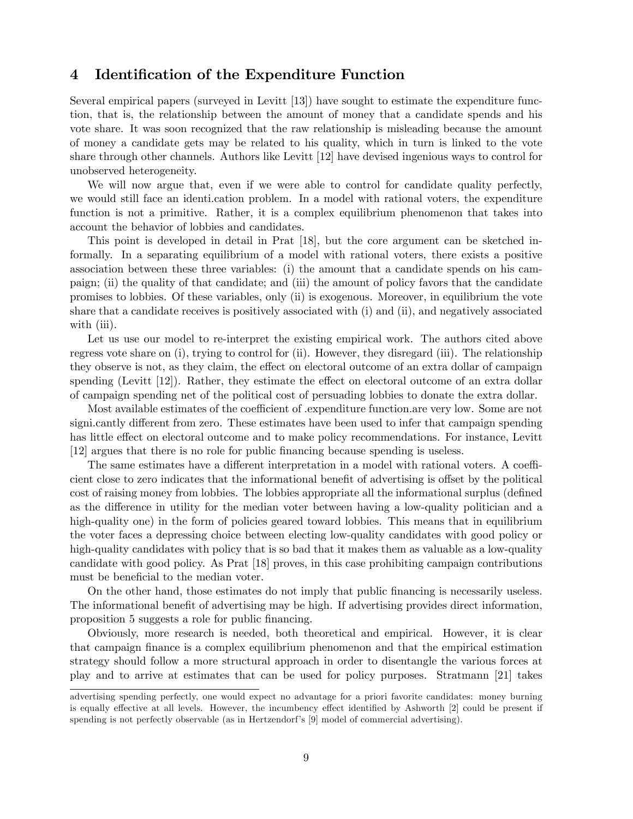### 4 Identification of the Expenditure Function

Several empirical papers (surveyed in Levitt [13]) have sought to estimate the expenditure function, that is, the relationship between the amount of money that a candidate spends and his vote share. It was soon recognized that the raw relationship is misleading because the amount of money a candidate gets may be related to his quality, which in turn is linked to the vote share through other channels. Authors like Levitt [12] have devised ingenious ways to control for unobserved heterogeneity.

We will now argue that, even if we were able to control for candidate quality perfectly, we would still face an identi.cation problem. In a model with rational voters, the expenditure function is not a primitive. Rather, it is a complex equilibrium phenomenon that takes into account the behavior of lobbies and candidates.

This point is developed in detail in Prat [18], but the core argument can be sketched informally. In a separating equilibrium of a model with rational voters, there exists a positive association between these three variables: (i) the amount that a candidate spends on his campaign; (ii) the quality of that candidate; and (iii) the amount of policy favors that the candidate promises to lobbies. Of these variables, only (ii) is exogenous. Moreover, in equilibrium the vote share that a candidate receives is positively associated with (i) and (ii), and negatively associated with (iii).

Let us use our model to re-interpret the existing empirical work. The authors cited above regress vote share on (i), trying to control for (ii). However, they disregard (iii). The relationship they observe is not, as they claim, the effect on electoral outcome of an extra dollar of campaign spending (Levitt  $[12]$ ). Rather, they estimate the effect on electoral outcome of an extra dollar of campaign spending net of the political cost of persuading lobbies to donate the extra dollar.

Most available estimates of the coefficient of . expenditure function. are very low. Some are not signi.cantly different from zero. These estimates have been used to infer that campaign spending has little effect on electoral outcome and to make policy recommendations. For instance, Levitt [12] argues that there is no role for public Önancing because spending is useless.

The same estimates have a different interpretation in a model with rational voters. A coefficient close to zero indicates that the informational benefit of advertising is offset by the political cost of raising money from lobbies. The lobbies appropriate all the informational surplus (defined as the difference in utility for the median voter between having a low-quality politician and a high-quality one) in the form of policies geared toward lobbies. This means that in equilibrium the voter faces a depressing choice between electing low-quality candidates with good policy or high-quality candidates with policy that is so bad that it makes them as valuable as a low-quality candidate with good policy. As Prat [18] proves, in this case prohibiting campaign contributions must be beneficial to the median voter.

On the other hand, those estimates do not imply that public Önancing is necessarily useless. The informational benefit of advertising may be high. If advertising provides direct information, proposition 5 suggests a role for public financing.

Obviously, more research is needed, both theoretical and empirical. However, it is clear that campaign Önance is a complex equilibrium phenomenon and that the empirical estimation strategy should follow a more structural approach in order to disentangle the various forces at play and to arrive at estimates that can be used for policy purposes. Stratmann [21] takes

advertising spending perfectly, one would expect no advantage for a priori favorite candidates: money burning is equally effective at all levels. However, the incumbency effect identified by Ashworth [2] could be present if spending is not perfectly observable (as in Hertzendorfís [9] model of commercial advertising).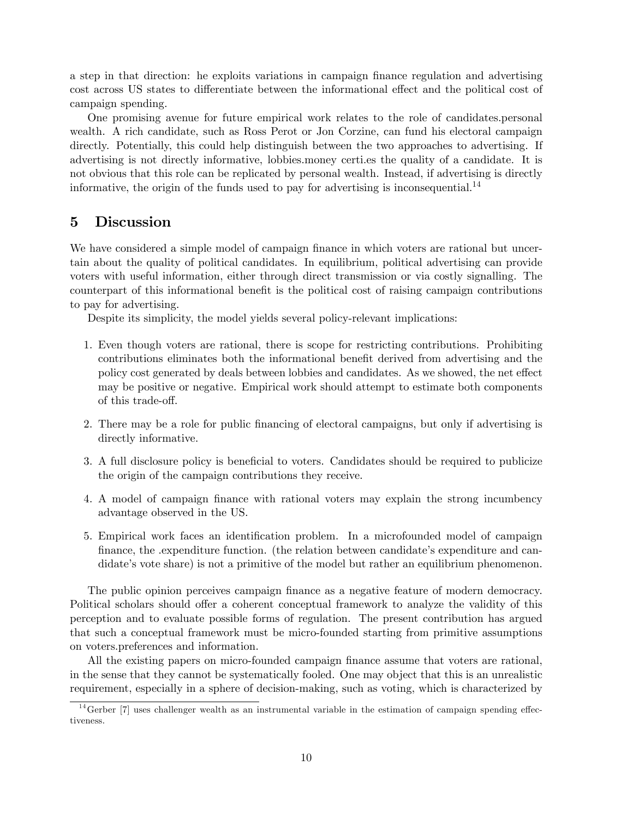a step in that direction: he exploits variations in campaign Önance regulation and advertising cost across US states to differentiate between the informational effect and the political cost of campaign spending.

One promising avenue for future empirical work relates to the role of candidates.personal wealth. A rich candidate, such as Ross Perot or Jon Corzine, can fund his electoral campaign directly. Potentially, this could help distinguish between the two approaches to advertising. If advertising is not directly informative, lobbies.money certi.es the quality of a candidate. It is not obvious that this role can be replicated by personal wealth. Instead, if advertising is directly informative, the origin of the funds used to pay for advertising is inconsequential.<sup>14</sup>

### 5 Discussion

We have considered a simple model of campaign finance in which voters are rational but uncertain about the quality of political candidates. In equilibrium, political advertising can provide voters with useful information, either through direct transmission or via costly signalling. The counterpart of this informational benefit is the political cost of raising campaign contributions to pay for advertising.

Despite its simplicity, the model yields several policy-relevant implications:

- 1. Even though voters are rational, there is scope for restricting contributions. Prohibiting contributions eliminates both the informational benefit derived from advertising and the policy cost generated by deals between lobbies and candidates. As we showed, the net effect may be positive or negative. Empirical work should attempt to estimate both components of this trade-off.
- 2. There may be a role for public Önancing of electoral campaigns, but only if advertising is directly informative.
- 3. A full disclosure policy is beneficial to voters. Candidates should be required to publicize the origin of the campaign contributions they receive.
- 4. A model of campaign Önance with rational voters may explain the strong incumbency advantage observed in the US.
- 5. Empirical work faces an identification problem. In a microfounded model of campaign finance, the .expenditure function. (the relation between candidate's expenditure and candidate's vote share) is not a primitive of the model but rather an equilibrium phenomenon.

The public opinion perceives campaign finance as a negative feature of modern democracy. Political scholars should offer a coherent conceptual framework to analyze the validity of this perception and to evaluate possible forms of regulation. The present contribution has argued that such a conceptual framework must be micro-founded starting from primitive assumptions on voters.preferences and information.

All the existing papers on micro-founded campaign finance assume that voters are rational, in the sense that they cannot be systematically fooled. One may object that this is an unrealistic requirement, especially in a sphere of decision-making, such as voting, which is characterized by

 $14$  Gerber [7] uses challenger wealth as an instrumental variable in the estimation of campaign spending effectiveness.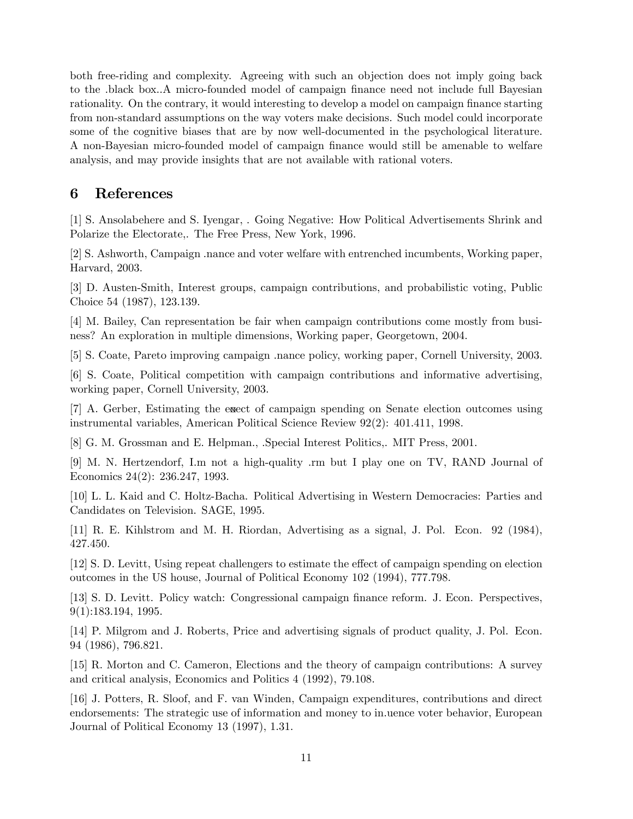both free-riding and complexity. Agreeing with such an objection does not imply going back to the .black box..A micro-founded model of campaign finance need not include full Bayesian rationality. On the contrary, it would interesting to develop a model on campaign finance starting from non-standard assumptions on the way voters make decisions. Such model could incorporate some of the cognitive biases that are by now well-documented in the psychological literature. A non-Bayesian micro-founded model of campaign Önance would still be amenable to welfare analysis, and may provide insights that are not available with rational voters.

## 6 References

[1] S. Ansolabehere and S. Iyengar, . Going Negative: How Political Advertisements Shrink and Polarize the Electorate,. The Free Press, New York, 1996.

[2] S. Ashworth, Campaign .nance and voter welfare with entrenched incumbents, Working paper, Harvard, 2003.

[3] D. Austen-Smith, Interest groups, campaign contributions, and probabilistic voting, Public Choice 54 (1987), 123.139.

[4] M. Bailey, Can representation be fair when campaign contributions come mostly from business? An exploration in multiple dimensions, Working paper, Georgetown, 2004.

[5] S. Coate, Pareto improving campaign .nance policy, working paper, Cornell University, 2003.

[6] S. Coate, Political competition with campaign contributions and informative advertising, working paper, Cornell University, 2003.

[7] A. Gerber, Estimating the exect of campaign spending on Senate election outcomes using instrumental variables, American Political Science Review 92(2): 401.411, 1998.

[8] G. M. Grossman and E. Helpman., .Special Interest Politics,. MIT Press, 2001.

[9] M. N. Hertzendorf, I.m not a high-quality .rm but I play one on TV, RAND Journal of Economics 24(2): 236.247, 1993.

[10] L. L. Kaid and C. Holtz-Bacha. Political Advertising in Western Democracies: Parties and Candidates on Television. SAGE, 1995.

[11] R. E. Kihlstrom and M. H. Riordan, Advertising as a signal, J. Pol. Econ. 92 (1984), 427.450.

[12] S. D. Levitt, Using repeat challengers to estimate the effect of campaign spending on election outcomes in the US house, Journal of Political Economy 102 (1994), 777.798.

[13] S. D. Levitt. Policy watch: Congressional campaign finance reform. J. Econ. Perspectives, 9(1):183.194, 1995.

[14] P. Milgrom and J. Roberts, Price and advertising signals of product quality, J. Pol. Econ. 94 (1986), 796.821.

[15] R. Morton and C. Cameron, Elections and the theory of campaign contributions: A survey and critical analysis, Economics and Politics 4 (1992), 79.108.

[16] J. Potters, R. Sloof, and F. van Winden, Campaign expenditures, contributions and direct endorsements: The strategic use of information and money to in.uence voter behavior, European Journal of Political Economy 13 (1997), 1.31.